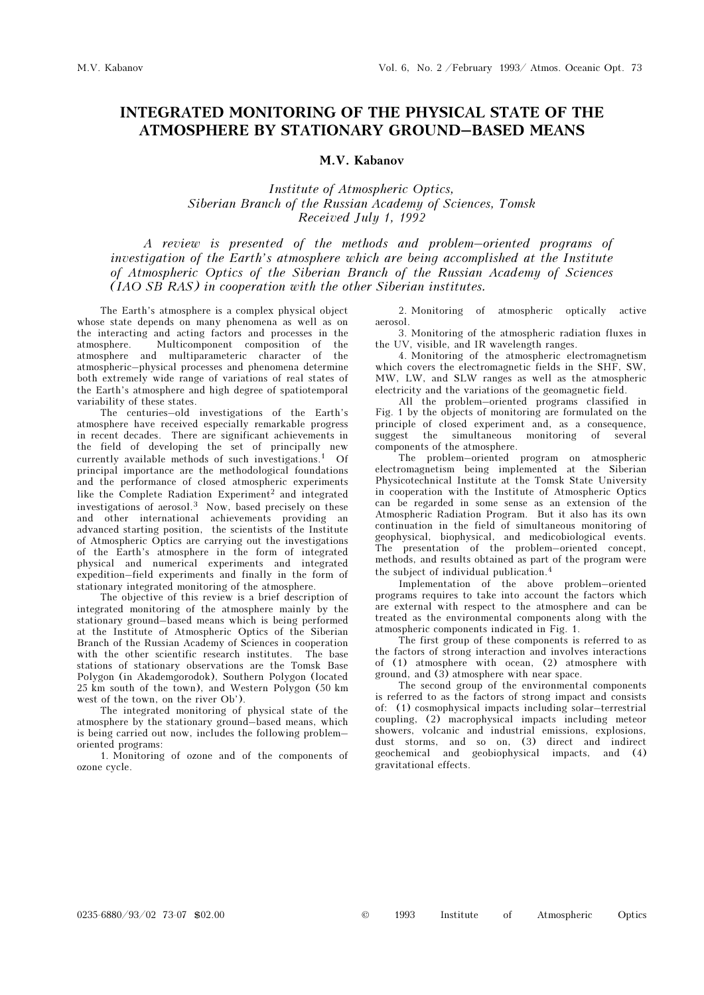## INTEGRATED MONITORING OF THE PHYSICAL STATE OF THE ATMOSPHERE BY STATIONARY GROUND–BASED MEANS

## M.V. Kabanov

Institute of Atmospheric Optics, Siberian Branch of the Russian Academy of Sciences, Tomsk Received July 1, 1992

A review is presented of the methods and problem–oriented programs of investigation of the Earth's atmosphere which are being accomplished at the Institute of Atmospheric Optics of the Siberian Branch of the Russian Academy of Sciences (IAO SB RAS) in cooperation with the other Siberian institutes.

The Earth's atmosphere is a complex physical object whose state depends on many phenomena as well as on the interacting and acting factors and processes in the atmosphere. Multicomponent composition of the atmosphere and multiparameteric character of the atmospheric–physical processes and phenomena determine both extremely wide range of variations of real states of the Earth's atmosphere and high degree of spatiotemporal variability of these states.

The centuries–old investigations of the Earth's atmosphere have received especially remarkable progress in recent decades. There are significant achievements in the field of developing the set of principally new currently available methods of such investigations.1 Of principal importance are the methodological foundations and the performance of closed atmospheric experiments like the Complete Radiation Experiment<sup>2</sup> and integrated investigations of aerosol.3 Now, based precisely on these and other international achievements providing an advanced starting position, the scientists of the Institute of Atmospheric Optics are carrying out the investigations of the Earth's atmosphere in the form of integrated physical and numerical experiments and integrated expedition–field experiments and finally in the form of stationary integrated monitoring of the atmosphere.

The objective of this review is a brief description of integrated monitoring of the atmosphere mainly by the stationary ground–based means which is being performed at the Institute of Atmospheric Optics of the Siberian Branch of the Russian Academy of Sciences in cooperation with the other scientific research institutes. The base stations of stationary observations are the Tomsk Base Polygon (in Akademgorodok), Southern Polygon (located 25 km south of the town), and Western Polygon (50 km west of the town, on the river Ob').

The integrated monitoring of physical state of the atmosphere by the stationary ground–based means, which is being carried out now, includes the following problem– oriented programs:

1. Monitoring of ozone and of the components of ozone cycle.

2. Monitoring of atmospheric optically active aerosol.

3. Monitoring of the atmospheric radiation fluxes in the UV, visible, and IR wavelength ranges.

4. Monitoring of the atmospheric electromagnetism which covers the electromagnetic fields in the SHF, SW, MW, LW, and SLW ranges as well as the atmospheric electricity and the variations of the geomagnetic field.

All the problem–oriented programs classified in Fig. 1 by the objects of monitoring are formulated on the principle of closed experiment and, as a consequence, suggest the simultaneous monitoring of several components of the atmosphere.

The problem–oriented program on atmospheric electromagnetism being implemented at the Siberian Physicotechnical Institute at the Tomsk State University in cooperation with the Institute of Atmospheric Optics can be regarded in some sense as an extension of the Atmospheric Radiation Program. But it also has its own continuation in the field of simultaneous monitoring of geophysical, biophysical, and medicobiological events. The presentation of the problem–oriented concept, methods, and results obtained as part of the program were the subject of individual publication.<sup>4</sup>

Implementation of the above problem–oriented programs requires to take into account the factors which are external with respect to the atmosphere and can be treated as the environmental components along with the atmospheric components indicated in Fig. 1.

The first group of these components is referred to as the factors of strong interaction and involves interactions of (1) atmosphere with ocean, (2) atmosphere with ground, and (3) atmosphere with near space.

The second group of the environmental components is referred to as the factors of strong impact and consists of: (1) cosmophysical impacts including solar–terrestrial coupling, (2) macrophysical impacts including meteor showers, volcanic and industrial emissions, explosions, dust storms, and so on, (3) direct and indirect geochemical and geobiophysical impacts, and (4) gravitational effects.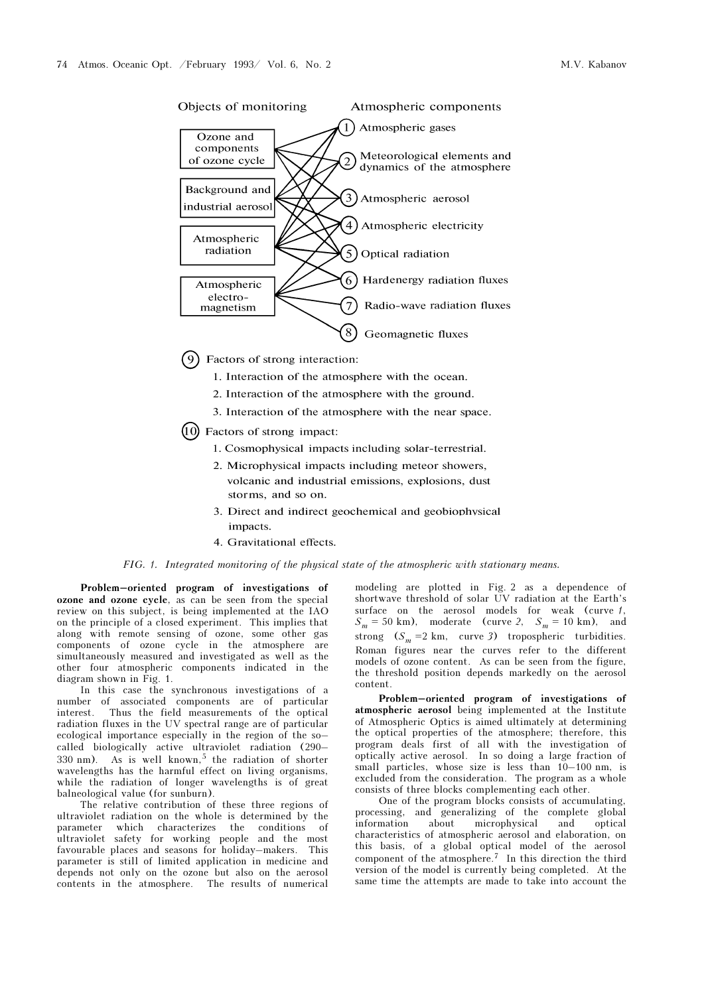

 $(9)$  Factors of strong interaction:

- 1. Interaction of the atmosphere with the ocean.
- 2. Interaction of the atmosphere with the ground.
- 3. Interaction of the atmosphere with the near space.
- $(10)$  Factors of strong impact:
	- 1. Cosmophysical impacts including solar-terrestrial.
	- 2. Microphysical impacts including meteor showers, volcanic and industrial emissions, explosions, dust storms, and so on.
	- 3. Direct and indirect geochemical and geobiophysical impacts.
	- 4. Gravitational effects.

FIG. 1. Integrated monitoring of the physical state of the atmospheric with stationary means.

Problem–oriented program of investigations of ozone and ozone cycle, as can be seen from the special review on this subject, is being implemented at the IAO on the principle of a closed experiment. This implies that along with remote sensing of ozone, some other gas components of ozone cycle in the atmosphere are simultaneously measured and investigated as well as the other four atmospheric components indicated in the diagram shown in Fig. 1.

In this case the synchronous investigations of a number of associated components are of particular interest. Thus the field measurements of the optical radiation fluxes in the UV spectral range are of particular ecological importance especially in the region of the so– called biologically active ultraviolet radiation (290– 330 nm). As is well known,<sup>5</sup> the radiation of shorter wavelengths has the harmful effect on living organisms, while the radiation of longer wavelengths is of great balneological value (for sunburn).

The relative contribution of these three regions of ultraviolet radiation on the whole is determined by the parameter which characterizes the conditions of ultraviolet safety for working people and the most favourable places and seasons for holiday–makers. This parameter is still of limited application in medicine and depends not only on the ozone but also on the aerosol contents in the atmosphere. The results of numerical modeling are plotted in Fig. 2 as a dependence of shortwave threshold of solar UV radiation at the Earth's surface on the aerosol models for weak (curve 1,  $S_m = 50 \text{ km}$ , moderate (curve 2,  $S_m = 10 \text{ km}$ ), and strong  $(S_m = 2 \text{ km}, \text{ curve } 3)$  tropospheric turbidities. Roman figures near the curves refer to the different models of ozone content. As can be seen from the figure, the threshold position depends markedly on the aerosol content.

Problem–oriented program of investigations of atmospheric aerosol being implemented at the Institute of Atmospheric Optics is aimed ultimately at determining the optical properties of the atmosphere; therefore, this program deals first of all with the investigation of optically active aerosol. In so doing a large fraction of small particles, whose size is less than 10–100 nm, is excluded from the consideration. The program as a whole consists of three blocks complementing each other.

One of the program blocks consists of accumulating, processing, and generalizing of the complete global information about microphysical and optical characteristics of atmospheric aerosol and elaboration, on this basis, of a global optical model of the aerosol component of the atmosphere.7 In this direction the third version of the model is currently being completed. At the same time the attempts are made to take into account the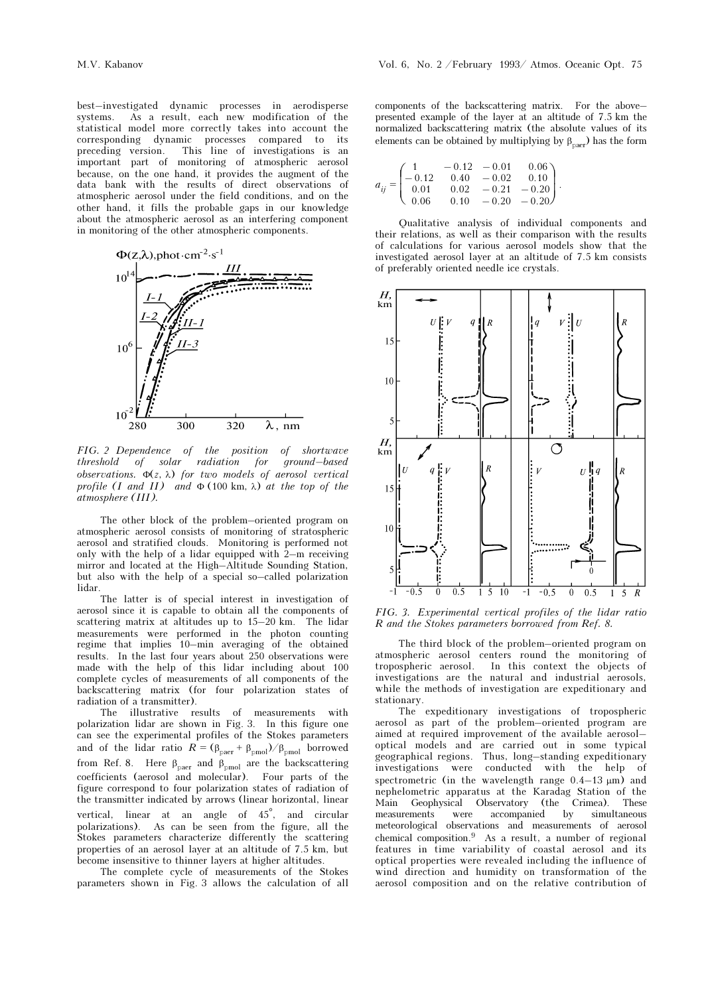best–investigated dynamic processes in aerodisperse systems. As a result, each new modification of the statistical model more correctly takes into account the corresponding dynamic processes compared to its preceding version. This line of investigations is an important part of monitoring of atmospheric aerosol because, on the one hand, it provides the augment of the data bank with the results of direct observations of atmospheric aerosol under the field conditions, and on the other hand, it fills the probable gaps in our knowledge about the atmospheric aerosol as an interfering component in monitoring of the other atmospheric components.



FIG. 2 Dependence of the position of shortwave threshold of solar radiation for ground–based observations.  $\Phi(z, \lambda)$  for two models of aerosol vertical profile (I and II) and  $\Phi$  (100 km,  $\lambda$ ) at the top of the atmosphere (III).

The other block of the problem–oriented program on atmospheric aerosol consists of monitoring of stratospheric aerosol and stratified clouds. Monitoring is performed not only with the help of a lidar equipped with  $2-m$  receiving mirror and located at the High–Altitude Sounding Station, but also with the help of a special so–called polarization lidar.

The latter is of special interest in investigation of aerosol since it is capable to obtain all the components of scattering matrix at altitudes up to 15–20 km. The lidar measurements were performed in the photon counting regime that implies 10–min averaging of the obtained results. In the last four years about 250 observations were made with the help of this lidar including about 100 complete cycles of measurements of all components of the backscattering matrix (for four polarization states of radiation of a transmitter).

The illustrative results of measurements with polarization lidar are shown in Fig. 3. In this figure one can see the experimental profiles of the Stokes parameters and of the lidar ratio  $R = (\beta_{\text{parent}} + \beta_{\text{pmol}})/\beta_{\text{pmol}}$  borrowed from Ref. 8. Here  $\beta_{\text{parent}}$  and  $\beta_{\text{pmol}}$  are the backscattering coefficients (aerosol and molecular). Four parts of the figure correspond to four polarization states of radiation of the transmitter indicated by arrows (linear horizontal, linear vertical, linear at an angle of 45°, and circular polarizations). As can be seen from the figure, all the Stokes parameters characterize differently the scattering properties of an aerosol layer at an altitude of 7.5 km, but become insensitive to thinner layers at higher altitudes.

The complete cycle of measurements of the Stokes parameters shown in Fig. 3 allows the calculation of all components of the backscattering matrix. For the above– presented example of the layer at an altitude of 7.5 km the normalized backscattering matrix (the absolute values of its elements can be obtained by multiplying by  $\beta_{\text{paper}}$ ) has the form

$$
a_{ij} = \begin{pmatrix} 1 & -0.12 & -0.01 & 0.06 \\ -0.12 & 0.40 & -0.02 & 0.10 \\ 0.01 & 0.02 & -0.21 & -0.20 \\ 0.06 & 0.10 & -0.20 & -0.20 \end{pmatrix}.
$$

Qualitative analysis of individual components and their relations, as well as their comparison with the results of calculations for various aerosol models show that the investigated aerosol layer at an altitude of 7.5 km consists of preferably oriented needle ice crystals.



FIG. 3. Experimental vertical profiles of the lidar ratio R and the Stokes parameters borrowed from Ref. 8.

The third block of the problem–oriented program on atmospheric aerosol centers round the monitoring of tropospheric aerosol. In this context the objects of investigations are the natural and industrial aerosols, while the methods of investigation are expeditionary and stationary.

The expeditionary investigations of tropospheric aerosol as part of the problem–oriented program are aimed at required improvement of the available aerosol– optical models and are carried out in some typical geographical regions. Thus, long–standing expeditionary investigations were conducted with the help of spectrometric (in the wavelength range  $0.4-13 \mu m$ ) and nephelometric apparatus at the Karadag Station of the Main Geophysical Observatory (the Crimea). These measurements were accompanied by simultaneous meteorological observations and measurements of aerosol chemical composition.9 As a result, a number of regional features in time variability of coastal aerosol and its optical properties were revealed including the influence of wind direction and humidity on transformation of the aerosol composition and on the relative contribution of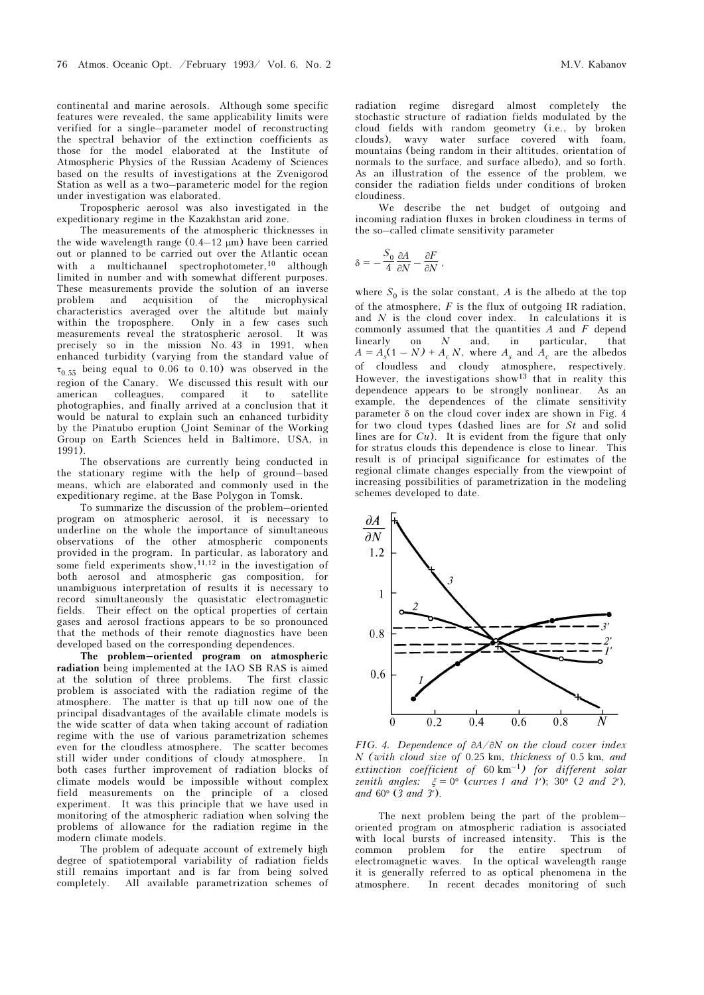continental and marine aerosols. Although some specific features were revealed, the same applicability limits were verified for a single–parameter model of reconstructing the spectral behavior of the extinction coefficients as those for the model elaborated at the Institute of Atmospheric Physics of the Russian Academy of Sciences based on the results of investigations at the Zvenigorod Station as well as a two–parameteric model for the region under investigation was elaborated.

Tropospheric aerosol was also investigated in the expeditionary regime in the Kazakhstan arid zone.

The measurements of the atmospheric thicknesses in the wide wavelength range  $(0.4-12 \mu m)$  have been carried out or planned to be carried out over the Atlantic ocean with a multichannel spectrophotometer,<sup>10</sup> although limited in number and with somewhat different purposes. These measurements provide the solution of an inverse problem and acquisition of the microphysical characteristics averaged over the altitude but mainly within the troposphere. Only in a few cases such measurements reveal the stratospheric aerosol. It was precisely so in the mission No. 43 in 1991, when enhanced turbidity (varying from the standard value of  $\tau_{0.55}$  being equal to 0.06 to 0.10) was observed in the region of the Canary. We discussed this result with our american colleagues, compared it to satellite photographies, and finally arrived at a conclusion that it would be natural to explain such an enhanced turbidity by the Pinatubo eruption (Joint Seminar of the Working Group on Earth Sciences held in Baltimore, USA, in 1991).

The observations are currently being conducted in the stationary regime with the help of ground–based means, which are elaborated and commonly used in the expeditionary regime, at the Base Polygon in Tomsk.

To summarize the discussion of the problem–oriented program on atmospheric aerosol, it is necessary to underline on the whole the importance of simultaneous observations of the other atmospheric components provided in the program. In particular, as laboratory and some field experiments show,  $11,12$  in the investigation of both aerosol and atmospheric gas composition, for unambiguous interpretation of results it is necessary to record simultaneously the quasistatic electromagnetic fields. Their effect on the optical properties of certain gases and aerosol fractions appears to be so pronounced that the methods of their remote diagnostics have been developed based on the corresponding dependences.

The problem–oriented program on atmospheric radiation being implemented at the IAO SB RAS is aimed at the solution of three problems. The first classic problem is associated with the radiation regime of the atmosphere. The matter is that up till now one of the principal disadvantages of the available climate models is the wide scatter of data when taking account of radiation regime with the use of various parametrization schemes even for the cloudless atmosphere. The scatter becomes still wider under conditions of cloudy atmosphere. In both cases further improvement of radiation blocks of climate models would be impossible without complex field measurements on the principle of a closed experiment. It was this principle that we have used in monitoring of the atmospheric radiation when solving the problems of allowance for the radiation regime in the modern climate models.

The problem of adequate account of extremely high degree of spatiotemporal variability of radiation fields still remains important and is far from being solved completely. All available parametrization schemes of radiation regime disregard almost completely the stochastic structure of radiation fields modulated by the cloud fields with random geometry (i.e., by broken clouds), wavy water surface covered with foam, mountains (being random in their altitudes, orientation of normals to the surface, and surface albedo), and so forth. As an illustration of the essence of the problem, we consider the radiation fields under conditions of broken cloudiness.

We describe the net budget of outgoing and incoming radiation fluxes in broken cloudiness in terms of the so–called climate sensitivity parameter

$$
\delta = -\frac{S_0}{4} \frac{\partial A}{\partial N} - \frac{\partial F}{\partial N} ,
$$

where  $S_0$  is the solar constant, A is the albedo at the top of the atmosphere,  $F$  is the flux of outgoing IR radiation, and  $N$  is the cloud cover index. In calculations it is commonly assumed that the quantities  $A$  and  $F$  depend linearly on N and, in particular, that  $A = A<sub>s</sub>(1 - N) + A<sub>c</sub> N$ , where  $A<sub>s</sub>$  and  $A<sub>c</sub>$  are the albedos of cloudless and cloudy atmosphere, respectively. However, the investigations show<sup>13</sup> that in reality this dependence appears to be strongly nonlinear. As an example, the dependences of the climate sensitivity parameter δ on the cloud cover index are shown in Fig. 4 for two cloud types (dashed lines are for  $St$  and solid lines are for Cu). It is evident from the figure that only for stratus clouds this dependence is close to linear. This result is of principal significance for estimates of the regional climate changes especially from the viewpoint of increasing possibilities of parametrization in the modeling schemes developed to date.



FIG. 4. Dependence of ∂A/∂N on the cloud cover index N (with cloud size of 0.25 km, thickness of 0.5 km, and extinction coefficient of  $60 \text{ km}^{-1}$ ) for different solar zenith angles:  $\xi = 0^{\circ}$  (curves 1 and 1'); 30° (2 and 2'), and  $60^{\circ}$  (3 and 3').

The next problem being the part of the problem– oriented program on atmospheric radiation is associated with local bursts of increased intensity. This is the common problem for the entire spectrum of electromagnetic waves. In the optical wavelength range it is generally referred to as optical phenomena in the atmosphere. In recent decades monitoring of such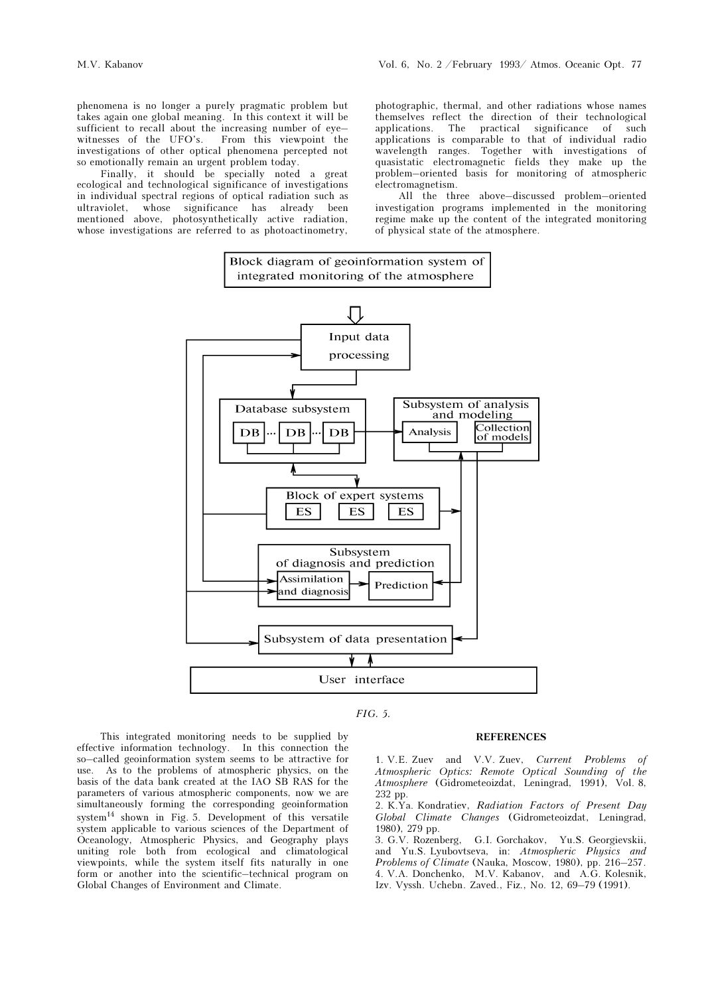phenomena is no longer a purely pragmatic problem but takes again one global meaning. In this context it will be sufficient to recall about the increasing number of eye– witnesses of the UFO's. From this viewpoint the investigations of other optical phenomena percepted not so emotionally remain an urgent problem today.

Finally, it should be specially noted a great ecological and technological significance of investigations in individual spectral regions of optical radiation such as ultraviolet, whose significance has already been mentioned above, photosynthetically active radiation, whose investigations are referred to as photoactinometry,

photographic, thermal, and other radiations whose names themselves reflect the direction of their technological applications. The practical significance of such applications is comparable to that of individual radio wavelength ranges. Together with investigations of quasistatic electromagnetic fields they make up the problem–oriented basis for monitoring of atmospheric electromagnetism.

All the three above–discussed problem–oriented investigation programs implemented in the monitoring regime make up the content of the integrated monitoring of physical state of the atmosphere.





## **REFERENCES**

This integrated monitoring needs to be supplied by effective information technology. In this connection the so–called geoinformation system seems to be attractive for use. As to the problems of atmospheric physics, on the basis of the data bank created at the IAO SB RAS for the parameters of various atmospheric components, now we are simultaneously forming the corresponding geoinformation system<sup>14</sup> shown in Fig. 5. Development of this versatile system applicable to various sciences of the Department of Oceanology, Atmospheric Physics, and Geography plays uniting role both from ecological and climatological viewpoints, while the system itself fits naturally in one form or another into the scientific–technical program on Global Changes of Environment and Climate.

1. V.E. Zuev and V.V. Zuev, Current Problems of Atmospheric Optics: Remote Optical Sounding of the Atmosphere (Gidrometeoizdat, Leningrad, 1991), Vol. 8, 232 pp.

2. K.Ya. Kondratiev, Radiation Factors of Present Day Global Climate Changes (Gidrometeoizdat, Leningrad, 1980), 279 pp.

3. G.V. Rozenberg, G.I. Gorchakov, Yu.S. Georgievskii, and Yu.S. Lyubovtseva, in: Atmospheric Physics and Problems of Climate (Nauka, Moscow, 1980), pp. 216–257. 4. V.A. Donchenko, M.V. Kabanov, and A.G. Kolesnik, Izv. Vyssh. Uchebn. Zaved., Fiz., No. 12, 69–79 (1991).